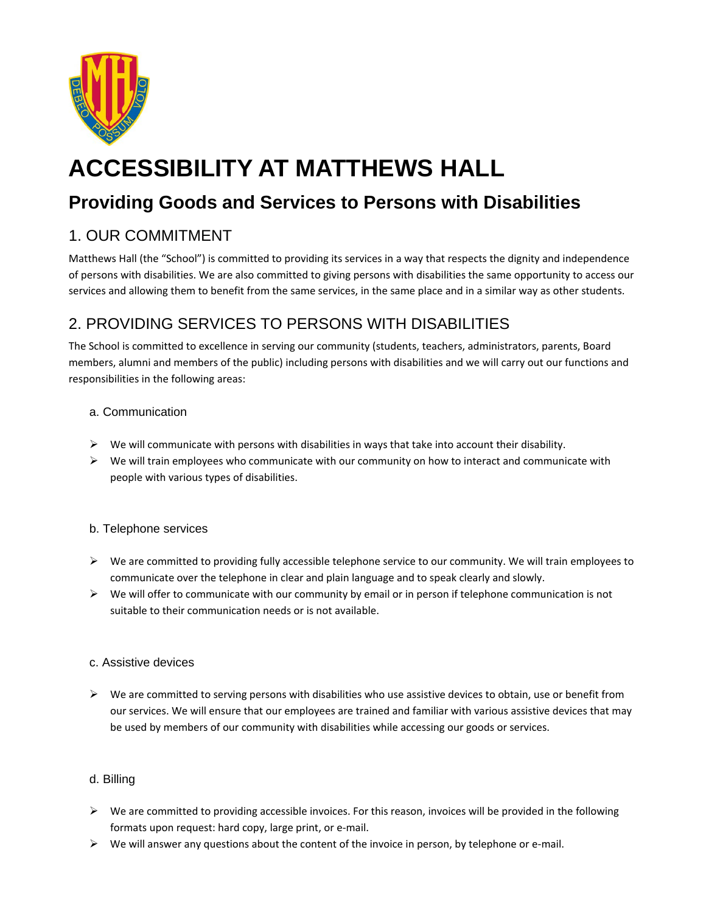

# **ACCESSIBILITY AT MATTHEWS HALL**

## **Providing Goods and Services to Persons with Disabilities**

### 1. OUR COMMITMENT

Matthews Hall (the "School") is committed to providing its services in a way that respects the dignity and independence of persons with disabilities. We are also committed to giving persons with disabilities the same opportunity to access our services and allowing them to benefit from the same services, in the same place and in a similar way as other students.

### 2. PROVIDING SERVICES TO PERSONS WITH DISABILITIES

The School is committed to excellence in serving our community (students, teachers, administrators, parents, Board members, alumni and members of the public) including persons with disabilities and we will carry out our functions and responsibilities in the following areas:

#### a. Communication

- $\triangleright$  We will communicate with persons with disabilities in ways that take into account their disability.
- $\triangleright$  We will train employees who communicate with our community on how to interact and communicate with people with various types of disabilities.

#### b. Telephone services

- $\triangleright$  We are committed to providing fully accessible telephone service to our community. We will train employees to communicate over the telephone in clear and plain language and to speak clearly and slowly.
- $\triangleright$  We will offer to communicate with our community by email or in person if telephone communication is not suitable to their communication needs or is not available.

#### c. Assistive devices

 $\triangleright$  We are committed to serving persons with disabilities who use assistive devices to obtain, use or benefit from our services. We will ensure that our employees are trained and familiar with various assistive devices that may be used by members of our community with disabilities while accessing our goods or services.

#### d. Billing

- $\triangleright$  We are committed to providing accessible invoices. For this reason, invoices will be provided in the following formats upon request: hard copy, large print, or e-mail.
- $\triangleright$  We will answer any questions about the content of the invoice in person, by telephone or e-mail.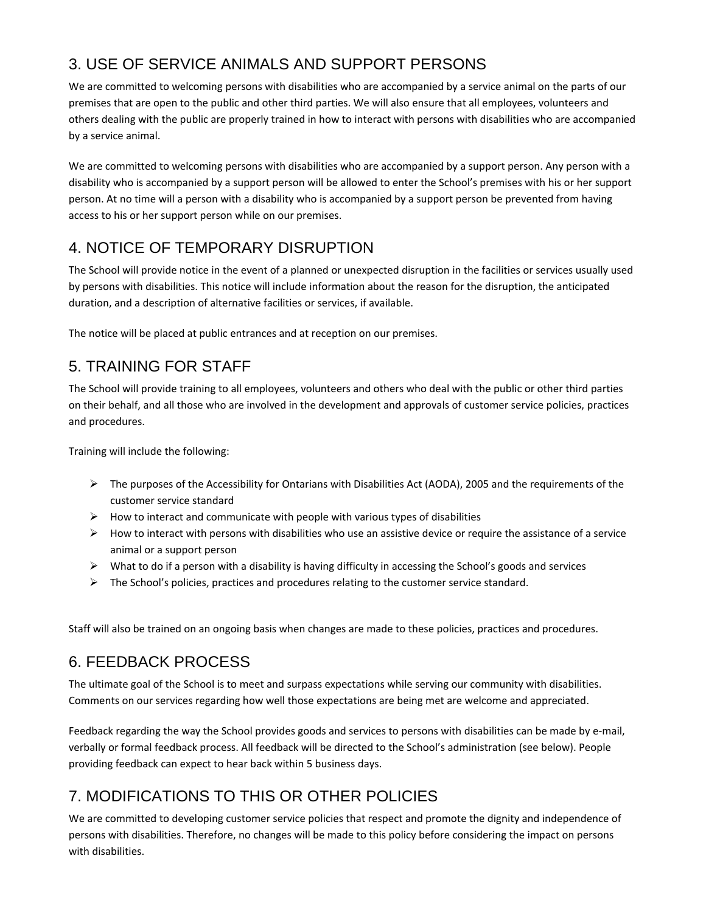### 3. USE OF SERVICE ANIMALS AND SUPPORT PERSONS

We are committed to welcoming persons with disabilities who are accompanied by a service animal on the parts of our premises that are open to the public and other third parties. We will also ensure that all employees, volunteers and others dealing with the public are properly trained in how to interact with persons with disabilities who are accompanied by a service animal.

We are committed to welcoming persons with disabilities who are accompanied by a support person. Any person with a disability who is accompanied by a support person will be allowed to enter the School's premises with his or her support person. At no time will a person with a disability who is accompanied by a support person be prevented from having access to his or her support person while on our premises.

### 4. NOTICE OF TEMPORARY DISRUPTION

The School will provide notice in the event of a planned or unexpected disruption in the facilities or services usually used by persons with disabilities. This notice will include information about the reason for the disruption, the anticipated duration, and a description of alternative facilities or services, if available.

The notice will be placed at public entrances and at reception on our premises.

### 5. TRAINING FOR STAFF

The School will provide training to all employees, volunteers and others who deal with the public or other third parties on their behalf, and all those who are involved in the development and approvals of customer service policies, practices and procedures.

Training will include the following:

- The purposes of the Accessibility for Ontarians with Disabilities Act (AODA), 2005 and the requirements of the customer service standard
- $\triangleright$  How to interact and communicate with people with various types of disabilities
- $\triangleright$  How to interact with persons with disabilities who use an assistive device or require the assistance of a service animal or a support person
- $\triangleright$  What to do if a person with a disability is having difficulty in accessing the School's goods and services
- $\triangleright$  The School's policies, practices and procedures relating to the customer service standard.

Staff will also be trained on an ongoing basis when changes are made to these policies, practices and procedures.

### 6. FEEDBACK PROCESS

The ultimate goal of the School is to meet and surpass expectations while serving our community with disabilities. Comments on our services regarding how well those expectations are being met are welcome and appreciated.

Feedback regarding the way the School provides goods and services to persons with disabilities can be made by e-mail, verbally or formal feedback process. All feedback will be directed to the School's administration (see below). People providing feedback can expect to hear back within 5 business days.

### 7. MODIFICATIONS TO THIS OR OTHER POLICIES

We are committed to developing customer service policies that respect and promote the dignity and independence of persons with disabilities. Therefore, no changes will be made to this policy before considering the impact on persons with disabilities.